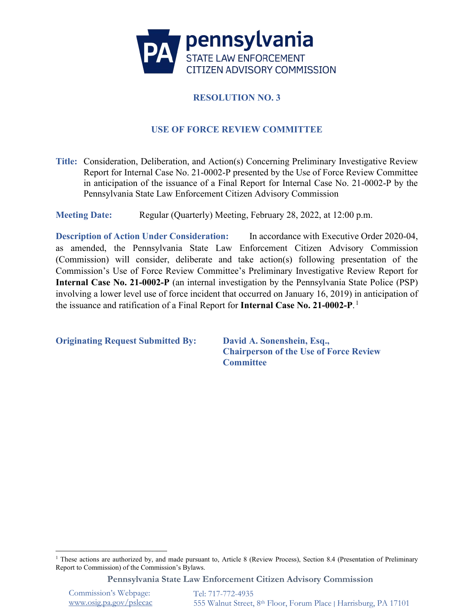

# **RESOLUTION NO. 3**

## **USE OF FORCE REVIEW COMMITTEE**

**Title:** Consideration, Deliberation, and Action(s) Concerning Preliminary Investigative Review Report for Internal Case No. 21-0002-P presented by the Use of Force Review Committee in anticipation of the issuance of a Final Report for Internal Case No. 21-0002-P by the Pennsylvania State Law Enforcement Citizen Advisory Commission

**Meeting Date:** Regular (Quarterly) Meeting, February 28, 2022, at 12:00 p.m.

**Description of Action Under Consideration:** In accordance with Executive Order 2020-04, as amended, the Pennsylvania State Law Enforcement Citizen Advisory Commission (Commission) will consider, deliberate and take action(s) following presentation of the Commission's Use of Force Review Committee's Preliminary Investigative Review Report for **Internal Case No. 21-0002-P** (an internal investigation by the Pennsylvania State Police (PSP) involving a lower level use of force incident that occurred on January 16, 2019) in anticipation of the issuance and ratification of a Final Report for **Internal Case No. 21-0002-P**. [1](#page-0-0)

**Originating Request Submitted By: David A. Sonenshein, Esq.,**

**Chairperson of the Use of Force Review Committee**

**Pennsylvania State Law Enforcement Citizen Advisory Commission**

Commission's Webpage: [www.osig.pa.gov/pslecac](http://www.osig.pa.gov/pslecac) 

<span id="page-0-0"></span><sup>&</sup>lt;sup>1</sup> These actions are authorized by, and made pursuant to, Article 8 (Review Process), Section 8.4 (Presentation of Preliminary Report to Commission) of the Commission's Bylaws.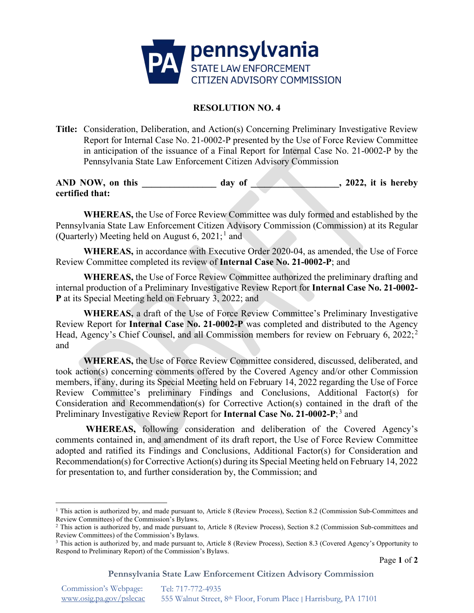

## **RESOLUTION NO. 4**

**Title:** Consideration, Deliberation, and Action(s) Concerning Preliminary Investigative Review Report for Internal Case No. 21-0002-P presented by the Use of Force Review Committee in anticipation of the issuance of a Final Report for Internal Case No. 21-0002-P by the Pennsylvania State Law Enforcement Citizen Advisory Commission

**AND NOW, on this \_\_\_\_\_\_\_\_\_\_\_\_\_\_\_\_ day of \_\_\_\_\_\_\_\_\_\_\_\_\_\_\_\_\_\_\_, 2022, it is hereby certified that:**

**WHEREAS,** the Use of Force Review Committee was duly formed and established by the Pennsylvania State Law Enforcement Citizen Advisory Commission (Commission) at its Regular (Quarterly) Meeting held on August  $6, 2021$  $6, 2021$ ;<sup>1</sup> and

**WHEREAS,** in accordance with Executive Order 2020-04, as amended, the Use of Force Review Committee completed its review of **Internal Case No. 21-0002-P**; and

**WHEREAS,** the Use of Force Review Committee authorized the preliminary drafting and internal production of a Preliminary Investigative Review Report for **Internal Case No. 21-0002- P** at its Special Meeting held on February 3, 2022; and

**WHEREAS,** a draft of the Use of Force Review Committee's Preliminary Investigative Review Report for **Internal Case No. 21-0002-P** was completed and distributed to the Agency Head, Agency's Chief Counsel, and all Commission members for review on February 6, [2](#page-1-1)022;<sup>2</sup> and

**WHEREAS,** the Use of Force Review Committee considered, discussed, deliberated, and took action(s) concerning comments offered by the Covered Agency and/or other Commission members, if any, during its Special Meeting held on February 14, 2022 regarding the Use of Force Review Committee's preliminary Findings and Conclusions, Additional Factor(s) for Consideration and Recommendation(s) for Corrective Action(s) contained in the draft of the Preliminary Investigative Review Report for **Internal Case No. 21-0002-P**; [3](#page-1-2) and

**WHEREAS,** following consideration and deliberation of the Covered Agency's comments contained in, and amendment of its draft report, the Use of Force Review Committee adopted and ratified its Findings and Conclusions, Additional Factor(s) for Consideration and Recommendation(s) for Corrective Action(s) during its Special Meeting held on February 14, 2022 for presentation to, and further consideration by, the Commission; and

**Pennsylvania State Law Enforcement Citizen Advisory Commission**

<span id="page-1-0"></span><sup>&</sup>lt;sup>1</sup> This action is authorized by, and made pursuant to, Article 8 (Review Process), Section 8.2 (Commission Sub-Committees and Review Committees) of the Commission's Bylaws.

<span id="page-1-1"></span><sup>&</sup>lt;sup>2</sup> This action is authorized by, and made pursuant to, Article 8 (Review Process), Section 8.2 (Commission Sub-committees and Review Committees) of the Commission's Bylaws.

<span id="page-1-2"></span><sup>3</sup> This action is authorized by, and made pursuant to, Article 8 (Review Process), Section 8.3 (Covered Agency's Opportunity to Respond to Preliminary Report) of the Commission's Bylaws.